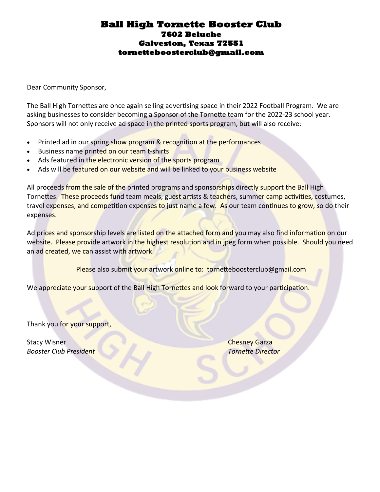#### **Ball High Tornette Booster Club 7602 Beluche Galveston, Texas 77551 tornetteboosterclub@gmail.com**

Dear Community Sponsor,

The Ball High Tornettes are once again selling advertising space in their 2022 Football Program. We are asking businesses to consider becoming a Sponsor of the Tornette team for the 2022-23 school year. Sponsors will not only receive ad space in the printed sports program, but will also receive:

- Printed ad in our spring show program & recognition at the performances
- Business name printed on our team t-shirts
- Ads featured in the electronic version of the sports program
- Ads will be featured on our website and will be linked to your business website

All proceeds from the sale of the printed programs and sponsorships directly support the Ball High Tornettes. These proceeds fund team meals, guest artists & teachers, summer camp activities, costumes, travel expenses, and competition expenses to just name a few. As our team continues to grow, so do their expenses.

Ad prices and sponsorship levels are listed on the attached form and you may also find information on our website. Please provide artwork in the highest resolution and in jpeg form when possible. Should you need an ad created, we can assist with artwork.

Please also submit your artwork online to: tornetteboosterclub@gmail.com

We appreciate your support of the Ball High Tornettes and look forward to your participation.

Thank you for your support,

**Stacy Wisner Chesney Garza** *Booster Club President Tornette Director*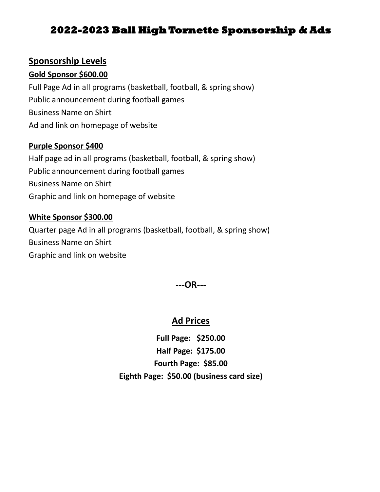## **2022-2023 Ball High Tornette Sponsorship & Ads**

### **Sponsorship Levels**

#### **Gold Sponsor \$600.00**

Full Page Ad in all programs (basketball, football, & spring show) Public announcement during football games Business Name on Shirt Ad and link on homepage of website

#### **Purple Sponsor \$400**

Half page ad in all programs (basketball, football, & spring show) Public announcement during football games Business Name on Shirt Graphic and link on homepage of website

#### **White Sponsor \$300.00**

Quarter page Ad in all programs (basketball, football, & spring show) Business Name on Shirt Graphic and link on website

**---OR---**

## **Ad Prices**

**Full Page: \$250.00 Half Page: \$175.00 Fourth Page: \$85.00 Eighth Page: \$50.00 (business card size)**